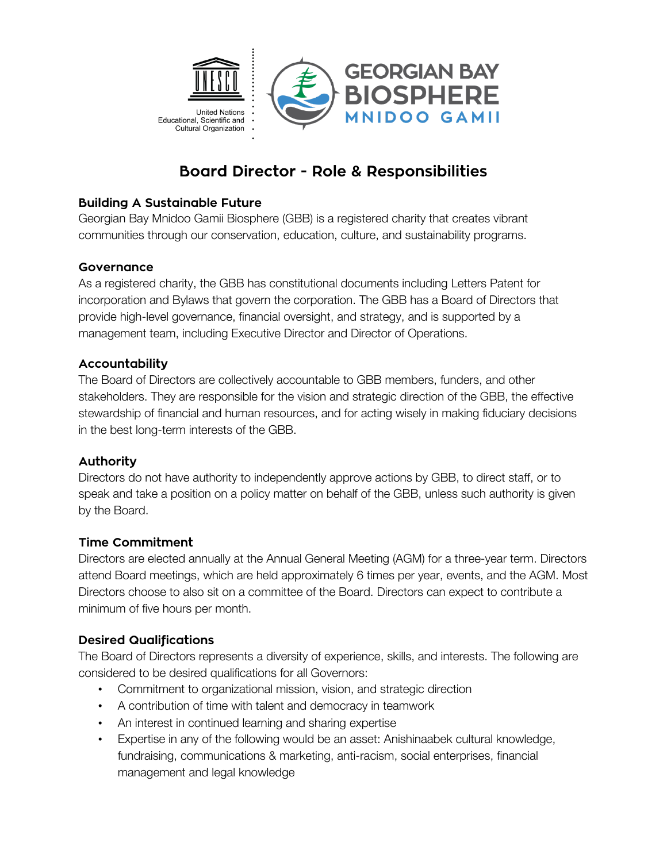

# **Board Director - Role & Responsibilities**

#### **Building A Sustainable Future**

Georgian Bay Mnidoo Gamii Biosphere (GBB) is a registered charity that creates vibrant communities through our conservation, education, culture, and sustainability programs.

### **Governance**

As a registered charity, the GBB has constitutional documents including Letters Patent for incorporation and Bylaws that govern the corporation. The GBB has a Board of Directors that provide high-level governance, financial oversight, and strategy, and is supported by a management team, including Executive Director and Director of Operations.

### **Accountability**

The Board of Directors are collectively accountable to GBB members, funders, and other stakeholders. They are responsible for the vision and strategic direction of the GBB, the effective stewardship of financial and human resources, and for acting wisely in making fiduciary decisions in the best long-term interests of the GBB.

# **Authority**

Directors do not have authority to independently approve actions by GBB, to direct staff, or to speak and take a position on a policy matter on behalf of the GBB, unless such authority is given by the Board.

#### **Time Commitment**

Directors are elected annually at the Annual General Meeting (AGM) for a three-year term. Directors attend Board meetings, which are held approximately 6 times per year, events, and the AGM. Most Directors choose to also sit on a committee of the Board. Directors can expect to contribute a minimum of five hours per month.

# **Desired Qualifications**

The Board of Directors represents a diversity of experience, skills, and interests. The following are considered to be desired qualifications for all Governors:

- Commitment to organizational mission, vision, and strategic direction
- A contribution of time with talent and democracy in teamwork
- An interest in continued learning and sharing expertise
- Expertise in any of the following would be an asset: Anishinaabek cultural knowledge, fundraising, communications & marketing, anti-racism, social enterprises, financial management and legal knowledge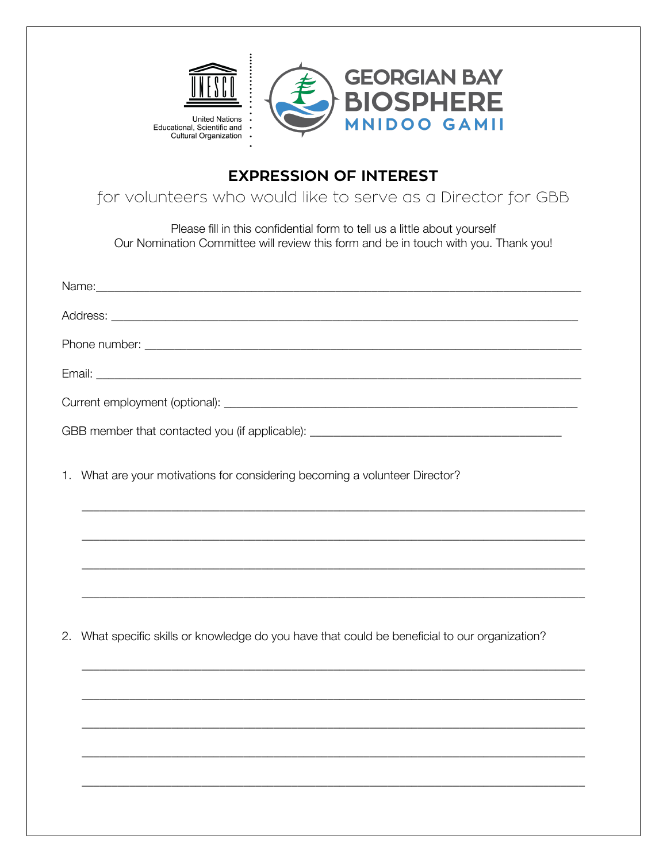

# **EXPRESSION OF INTEREST**

for volunteers who would like to serve as a Director for GBB

Please fill in this confidential form to tell us a little about yourself Our Nomination Committee will review this form and be in touch with you. Thank you!

| GBB member that contacted you (if applicable): __________________________________                 |  |  |  |  |
|---------------------------------------------------------------------------------------------------|--|--|--|--|
| What are your motivations for considering becoming a volunteer Director?<br>1.                    |  |  |  |  |
|                                                                                                   |  |  |  |  |
|                                                                                                   |  |  |  |  |
|                                                                                                   |  |  |  |  |
| What specific skills or knowledge do you have that could be beneficial to our organization?<br>2. |  |  |  |  |
|                                                                                                   |  |  |  |  |
|                                                                                                   |  |  |  |  |
|                                                                                                   |  |  |  |  |
|                                                                                                   |  |  |  |  |
|                                                                                                   |  |  |  |  |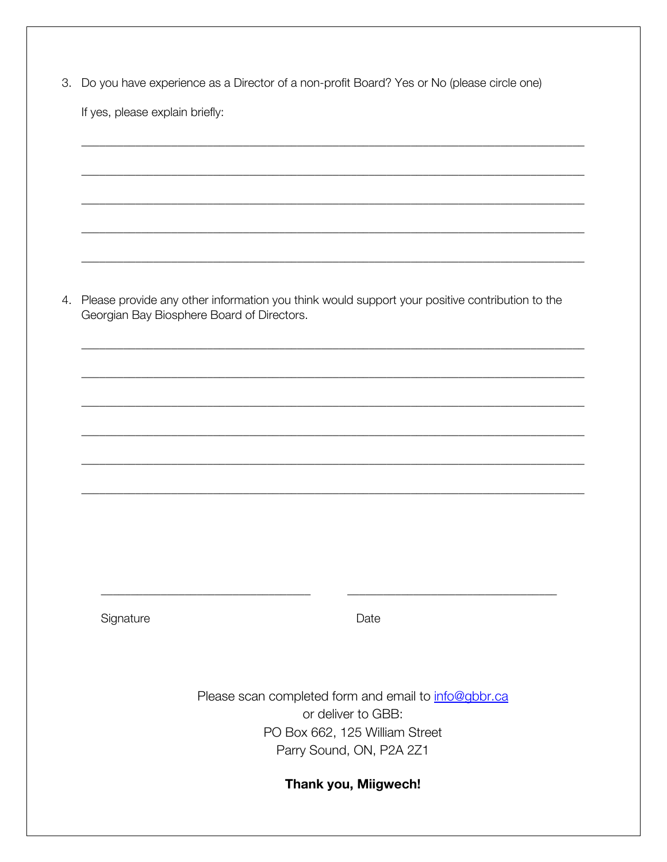|  |  | 3. Do you have experience as a Director of a non-profit Board? Yes or No (please circle one) |  |
|--|--|----------------------------------------------------------------------------------------------|--|
|--|--|----------------------------------------------------------------------------------------------|--|

If yes, please explain briefly:

4. Please provide any other information you think would support your positive contribution to the Georgian Bay Biosphere Board of Directors.

Signature

Date

Please scan completed form and email to info@gbbr.ca or deliver to GBB: PO Box 662, 125 William Street Parry Sound, ON, P2A 2Z1

Thank you, Miigwech!